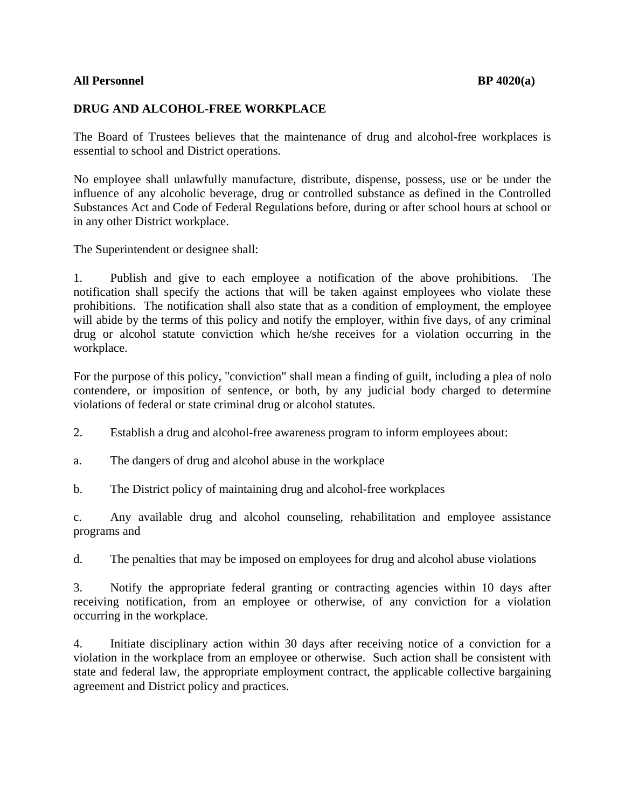## **All Personnel BP 4020(a)**

## **DRUG AND ALCOHOL-FREE WORKPLACE**

The Board of Trustees believes that the maintenance of drug and alcohol-free workplaces is essential to school and District operations.

No employee shall unlawfully manufacture, distribute, dispense, possess, use or be under the influence of any alcoholic beverage, drug or controlled substance as defined in the Controlled Substances Act and Code of Federal Regulations before, during or after school hours at school or in any other District workplace.

The Superintendent or designee shall:

1. Publish and give to each employee a notification of the above prohibitions. The notification shall specify the actions that will be taken against employees who violate these prohibitions. The notification shall also state that as a condition of employment, the employee will abide by the terms of this policy and notify the employer, within five days, of any criminal drug or alcohol statute conviction which he/she receives for a violation occurring in the workplace.

For the purpose of this policy, "conviction" shall mean a finding of guilt, including a plea of nolo contendere, or imposition of sentence, or both, by any judicial body charged to determine violations of federal or state criminal drug or alcohol statutes.

2. Establish a drug and alcohol-free awareness program to inform employees about:

a. The dangers of drug and alcohol abuse in the workplace

b. The District policy of maintaining drug and alcohol-free workplaces

c. Any available drug and alcohol counseling, rehabilitation and employee assistance programs and

d. The penalties that may be imposed on employees for drug and alcohol abuse violations

3. Notify the appropriate federal granting or contracting agencies within 10 days after receiving notification, from an employee or otherwise, of any conviction for a violation occurring in the workplace.

4. Initiate disciplinary action within 30 days after receiving notice of a conviction for a violation in the workplace from an employee or otherwise. Such action shall be consistent with state and federal law, the appropriate employment contract, the applicable collective bargaining agreement and District policy and practices.